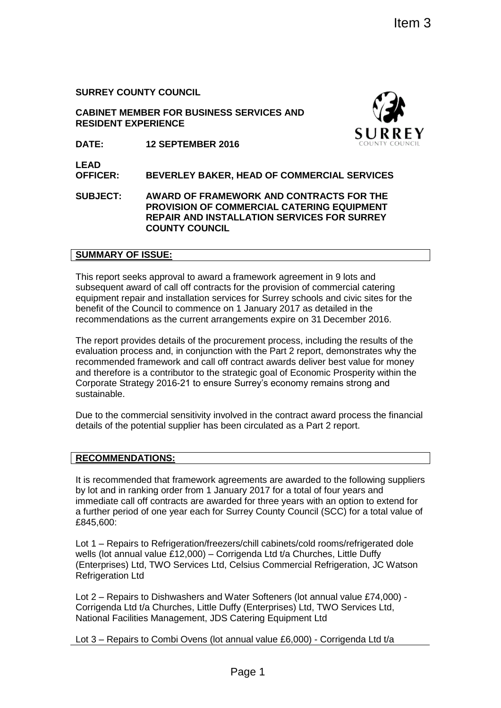**SURREY COUNTY COUNCIL**

**CABINET MEMBER FOR BUSINESS SERVICES AND RESIDENT EXPERIENCE**



**DATE: 12 SEPTEMBER 2016**

**LEAD** 

**OFFICER: BEVERLEY BAKER, HEAD OF COMMERCIAL SERVICES**

**SUBJECT: AWARD OF FRAMEWORK AND CONTRACTS FOR THE PROVISION OF COMMERCIAL CATERING EQUIPMENT REPAIR AND INSTALLATION SERVICES FOR SURREY COUNTY COUNCIL**

### **SUMMARY OF ISSUE:**

This report seeks approval to award a framework agreement in 9 lots and subsequent award of call off contracts for the provision of commercial catering equipment repair and installation services for Surrey schools and civic sites for the benefit of the Council to commence on 1 January 2017 as detailed in the recommendations as the current arrangements expire on 31 December 2016.

The report provides details of the procurement process, including the results of the evaluation process and, in conjunction with the Part 2 report, demonstrates why the recommended framework and call off contract awards deliver best value for money and therefore is a contributor to the strategic goal of Economic Prosperity within the Corporate Strategy 2016-21 to ensure Surrey's economy remains strong and sustainable. Item 3<br>
Item 3<br>
Item 3<br>
Item 3<br>
SURREY<br>
IteM of COMMERCIAL SERVICES<br>
WORK AND CONTRACTS FOR THE<br>
WORK AND CONTRACTS FOR THE<br>
WORK AND CONTRACTS FOR THE<br>
INMERCIAL CATERING EQUIPMENT<br>
ITEMENT CATEND SERVICES FOR SURREY<br>
ITE

Due to the commercial sensitivity involved in the contract award process the financial details of the potential supplier has been circulated as a Part 2 report.

## **RECOMMENDATIONS:**

It is recommended that framework agreements are awarded to the following suppliers by lot and in ranking order from 1 January 2017 for a total of four years and immediate call off contracts are awarded for three years with an option to extend for a further period of one year each for Surrey County Council (SCC) for a total value of £845,600:

Lot 1 – Repairs to Refrigeration/freezers/chill cabinets/cold rooms/refrigerated dole wells (lot annual value £12,000) – Corrigenda Ltd t/a Churches, Little Duffy (Enterprises) Ltd, TWO Services Ltd, Celsius Commercial Refrigeration, JC Watson Refrigeration Ltd

Lot 2 – Repairs to Dishwashers and Water Softeners (lot annual value £74,000) - Corrigenda Ltd t/a Churches, Little Duffy (Enterprises) Ltd, TWO Services Ltd, National Facilities Management, JDS Catering Equipment Ltd

Lot 3 – Repairs to Combi Ovens (lot annual value £6,000) - Corrigenda Ltd t/a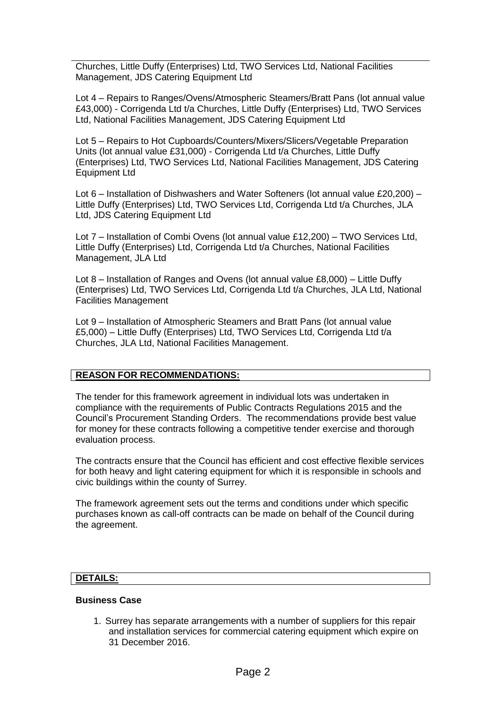Churches, Little Duffy (Enterprises) Ltd, TWO Services Ltd, National Facilities Management, JDS Catering Equipment Ltd

Lot 4 – Repairs to Ranges/Ovens/Atmospheric Steamers/Bratt Pans (lot annual value £43,000) - Corrigenda Ltd t/a Churches, Little Duffy (Enterprises) Ltd, TWO Services Ltd, National Facilities Management, JDS Catering Equipment Ltd

Lot 5 – Repairs to Hot Cupboards/Counters/Mixers/Slicers/Vegetable Preparation Units (lot annual value £31,000) - Corrigenda Ltd t/a Churches, Little Duffy (Enterprises) Ltd, TWO Services Ltd, National Facilities Management, JDS Catering Equipment Ltd

Lot 6 – Installation of Dishwashers and Water Softeners (lot annual value £20,200) – Little Duffy (Enterprises) Ltd, TWO Services Ltd, Corrigenda Ltd t/a Churches, JLA Ltd, JDS Catering Equipment Ltd

Lot 7 – Installation of Combi Ovens (lot annual value £12,200) – TWO Services Ltd, Little Duffy (Enterprises) Ltd, Corrigenda Ltd t/a Churches, National Facilities Management, JLA Ltd

Lot 8 – Installation of Ranges and Ovens (lot annual value £8,000) – Little Duffy (Enterprises) Ltd, TWO Services Ltd, Corrigenda Ltd t/a Churches, JLA Ltd, National Facilities Management

Lot 9 – Installation of Atmospheric Steamers and Bratt Pans (lot annual value £5,000) – Little Duffy (Enterprises) Ltd, TWO Services Ltd, Corrigenda Ltd t/a Churches, JLA Ltd, National Facilities Management.

### **REASON FOR RECOMMENDATIONS:**

The tender for this framework agreement in individual lots was undertaken in compliance with the requirements of Public Contracts Regulations 2015 and the Council's Procurement Standing Orders. The recommendations provide best value for money for these contracts following a competitive tender exercise and thorough evaluation process.

The contracts ensure that the Council has efficient and cost effective flexible services for both heavy and light catering equipment for which it is responsible in schools and civic buildings within the county of Surrey.

The framework agreement sets out the terms and conditions under which specific purchases known as call-off contracts can be made on behalf of the Council during the agreement.

### **DETAILS:**

#### **Business Case**

1. Surrey has separate arrangements with a number of suppliers for this repair and installation services for commercial catering equipment which expire on 31 December 2016.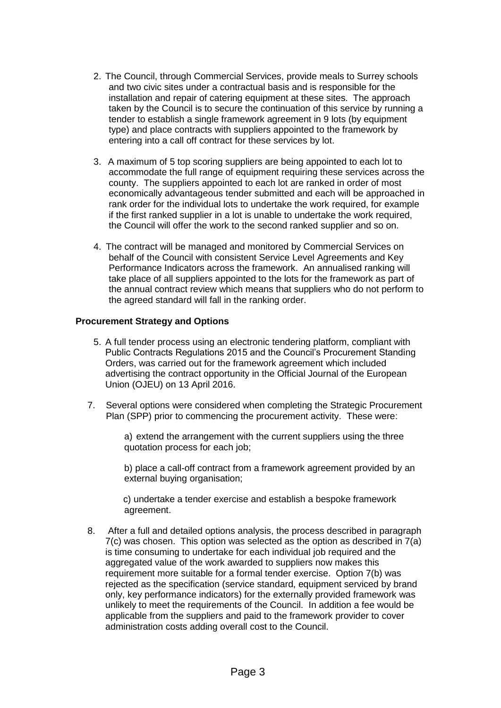- 2. The Council, through Commercial Services, provide meals to Surrey schools and two civic sites under a contractual basis and is responsible for the installation and repair of catering equipment at these sites. The approach taken by the Council is to secure the continuation of this service by running a tender to establish a single framework agreement in 9 lots (by equipment type) and place contracts with suppliers appointed to the framework by entering into a call off contract for these services by lot.
- 3. A maximum of 5 top scoring suppliers are being appointed to each lot to accommodate the full range of equipment requiring these services across the county. The suppliers appointed to each lot are ranked in order of most economically advantageous tender submitted and each will be approached in rank order for the individual lots to undertake the work required, for example if the first ranked supplier in a lot is unable to undertake the work required, the Council will offer the work to the second ranked supplier and so on.
- 4. The contract will be managed and monitored by Commercial Services on behalf of the Council with consistent Service Level Agreements and Key Performance Indicators across the framework. An annualised ranking will take place of all suppliers appointed to the lots for the framework as part of the annual contract review which means that suppliers who do not perform to the agreed standard will fall in the ranking order.

## **Procurement Strategy and Options**

- 5. A full tender process using an electronic tendering platform, compliant with Public Contracts Regulations 2015 and the Council's Procurement Standing Orders, was carried out for the framework agreement which included advertising the contract opportunity in the Official Journal of the European Union (OJEU) on 13 April 2016.
- 7. Several options were considered when completing the Strategic Procurement Plan (SPP) prior to commencing the procurement activity. These were:

a) extend the arrangement with the current suppliers using the three quotation process for each job;

b) place a call-off contract from a framework agreement provided by an external buying organisation;

c) undertake a tender exercise and establish a bespoke framework agreement.

8. After a full and detailed options analysis, the process described in paragraph 7(c) was chosen. This option was selected as the option as described in 7(a) is time consuming to undertake for each individual job required and the aggregated value of the work awarded to suppliers now makes this requirement more suitable for a formal tender exercise. Option 7(b) was rejected as the specification (service standard, equipment serviced by brand only, key performance indicators) for the externally provided framework was unlikely to meet the requirements of the Council. In addition a fee would be applicable from the suppliers and paid to the framework provider to cover administration costs adding overall cost to the Council.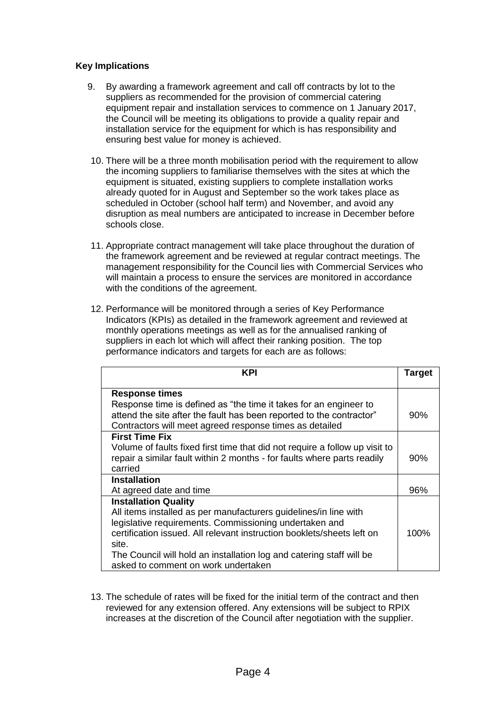## **Key Implications**

- 9. By awarding a framework agreement and call off contracts by lot to the suppliers as recommended for the provision of commercial catering equipment repair and installation services to commence on 1 January 2017, the Council will be meeting its obligations to provide a quality repair and installation service for the equipment for which is has responsibility and ensuring best value for money is achieved.
- 10. There will be a three month mobilisation period with the requirement to allow the incoming suppliers to familiarise themselves with the sites at which the equipment is situated, existing suppliers to complete installation works already quoted for in August and September so the work takes place as scheduled in October (school half term) and November, and avoid any disruption as meal numbers are anticipated to increase in December before schools close.
- 11. Appropriate contract management will take place throughout the duration of the framework agreement and be reviewed at regular contract meetings. The management responsibility for the Council lies with Commercial Services who will maintain a process to ensure the services are monitored in accordance with the conditions of the agreement.
- 12. Performance will be monitored through a series of Key Performance Indicators (KPIs) as detailed in the framework agreement and reviewed at monthly operations meetings as well as for the annualised ranking of suppliers in each lot which will affect their ranking position. The top performance indicators and targets for each are as follows:

| KPI                                                                         | Target |
|-----------------------------------------------------------------------------|--------|
| <b>Response times</b>                                                       |        |
| Response time is defined as "the time it takes for an engineer to           |        |
| attend the site after the fault has been reported to the contractor"        | 90%    |
| Contractors will meet agreed response times as detailed                     |        |
| <b>First Time Fix</b>                                                       |        |
| Volume of faults fixed first time that did not require a follow up visit to |        |
| repair a similar fault within 2 months - for faults where parts readily     | 90%    |
| carried                                                                     |        |
| <b>Installation</b>                                                         |        |
| At agreed date and time                                                     | 96%    |
| <b>Installation Quality</b>                                                 |        |
| All items installed as per manufacturers guidelines/in line with            |        |
| legislative requirements. Commissioning undertaken and                      |        |
| certification issued. All relevant instruction booklets/sheets left on      | 100%   |
| site.                                                                       |        |
| The Council will hold an installation log and catering staff will be        |        |
| asked to comment on work undertaken                                         |        |

13. The schedule of rates will be fixed for the initial term of the contract and then reviewed for any extension offered. Any extensions will be subject to RPIX increases at the discretion of the Council after negotiation with the supplier.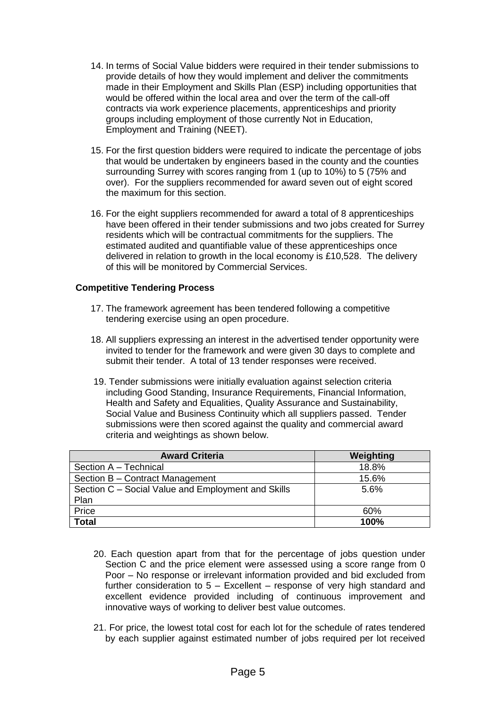- 14. In terms of Social Value bidders were required in their tender submissions to provide details of how they would implement and deliver the commitments made in their Employment and Skills Plan (ESP) including opportunities that would be offered within the local area and over the term of the call-off contracts via work experience placements, apprenticeships and priority groups including employment of those currently Not in Education, Employment and Training (NEET).
- 15. For the first question bidders were required to indicate the percentage of jobs that would be undertaken by engineers based in the county and the counties surrounding Surrey with scores ranging from 1 (up to 10%) to 5 (75% and over). For the suppliers recommended for award seven out of eight scored the maximum for this section.
- 16. For the eight suppliers recommended for award a total of 8 apprenticeships have been offered in their tender submissions and two jobs created for Surrey residents which will be contractual commitments for the suppliers. The estimated audited and quantifiable value of these apprenticeships once delivered in relation to growth in the local economy is £10,528. The delivery of this will be monitored by Commercial Services.

### **Competitive Tendering Process**

- 17. The framework agreement has been tendered following a competitive tendering exercise using an open procedure.
- 18. All suppliers expressing an interest in the advertised tender opportunity were invited to tender for the framework and were given 30 days to complete and submit their tender. A total of 13 tender responses were received.
- 19. Tender submissions were initially evaluation against selection criteria including Good Standing, Insurance Requirements, Financial Information, Health and Safety and Equalities, Quality Assurance and Sustainability, Social Value and Business Continuity which all suppliers passed. Tender submissions were then scored against the quality and commercial award criteria and weightings as shown below.

| <b>Award Criteria</b>                              | Weighting |
|----------------------------------------------------|-----------|
| Section A - Technical                              | 18.8%     |
| Section B - Contract Management                    | 15.6%     |
| Section C - Social Value and Employment and Skills | 5.6%      |
| Plan                                               |           |
| Price                                              | 60%       |
| <b>Total</b>                                       | 100%      |

- 20. Each question apart from that for the percentage of jobs question under Section C and the price element were assessed using a score range from 0 Poor – No response or irrelevant information provided and bid excluded from further consideration to 5 – Excellent – response of very high standard and excellent evidence provided including of continuous improvement and innovative ways of working to deliver best value outcomes.
- 21. For price, the lowest total cost for each lot for the schedule of rates tendered by each supplier against estimated number of jobs required per lot received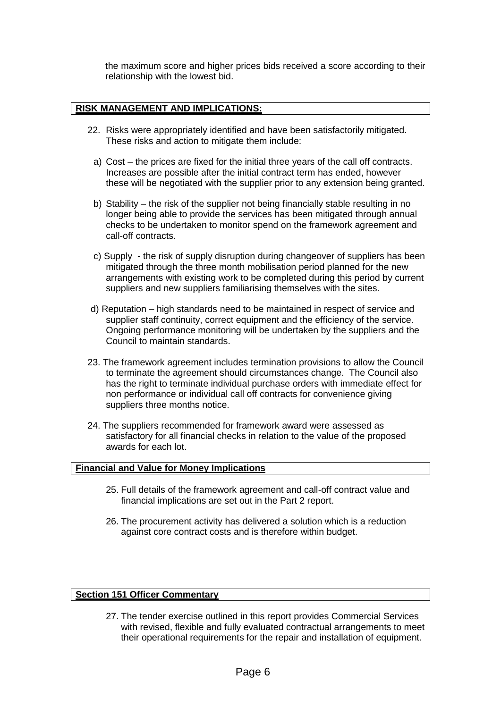the maximum score and higher prices bids received a score according to their relationship with the lowest bid.

## **RISK MANAGEMENT AND IMPLICATIONS:**

- 22. Risks were appropriately identified and have been satisfactorily mitigated. These risks and action to mitigate them include:
	- a) Cost the prices are fixed for the initial three years of the call off contracts. Increases are possible after the initial contract term has ended, however these will be negotiated with the supplier prior to any extension being granted.
	- b) Stability the risk of the supplier not being financially stable resulting in no longer being able to provide the services has been mitigated through annual checks to be undertaken to monitor spend on the framework agreement and call-off contracts.
	- c) Supply the risk of supply disruption during changeover of suppliers has been mitigated through the three month mobilisation period planned for the new arrangements with existing work to be completed during this period by current suppliers and new suppliers familiarising themselves with the sites.
- d) Reputation high standards need to be maintained in respect of service and supplier staff continuity, correct equipment and the efficiency of the service. Ongoing performance monitoring will be undertaken by the suppliers and the Council to maintain standards.
- 23. The framework agreement includes termination provisions to allow the Council to terminate the agreement should circumstances change. The Council also has the right to terminate individual purchase orders with immediate effect for non performance or individual call off contracts for convenience giving suppliers three months notice.
- 24. The suppliers recommended for framework award were assessed as satisfactory for all financial checks in relation to the value of the proposed awards for each lot.

## **Financial and Value for Money Implications**

- 25. Full details of the framework agreement and call-off contract value and financial implications are set out in the Part 2 report.
- 26. The procurement activity has delivered a solution which is a reduction against core contract costs and is therefore within budget.

### **Section 151 Officer Commentary**

27. The tender exercise outlined in this report provides Commercial Services with revised, flexible and fully evaluated contractual arrangements to meet their operational requirements for the repair and installation of equipment.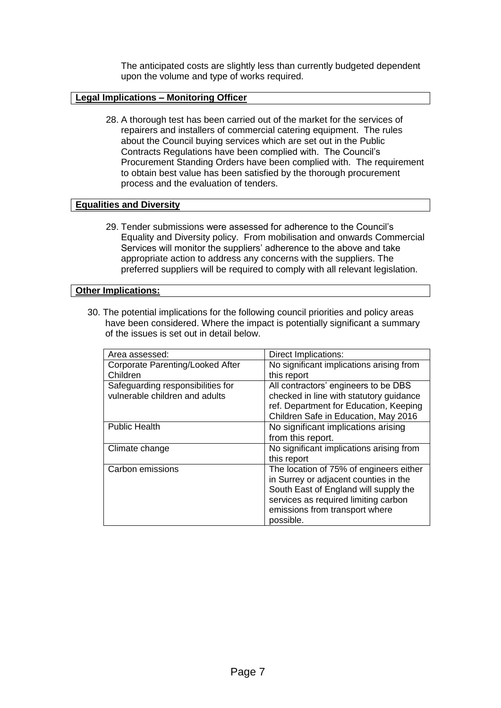The anticipated costs are slightly less than currently budgeted dependent upon the volume and type of works required.

### **Legal Implications – Monitoring Officer**

28. A thorough test has been carried out of the market for the services of repairers and installers of commercial catering equipment. The rules about the Council buying services which are set out in the Public Contracts Regulations have been complied with. The Council's Procurement Standing Orders have been complied with. The requirement to obtain best value has been satisfied by the thorough procurement process and the evaluation of tenders.

### **Equalities and Diversity**

29. Tender submissions were assessed for adherence to the Council's Equality and Diversity policy. From mobilisation and onwards Commercial Services will monitor the suppliers' adherence to the above and take appropriate action to address any concerns with the suppliers. The preferred suppliers will be required to comply with all relevant legislation.

### **Other Implications:**

30. The potential implications for the following council priorities and policy areas have been considered. Where the impact is potentially significant a summary of the issues is set out in detail below.

| Area assessed:                    | Direct Implications:                     |
|-----------------------------------|------------------------------------------|
| Corporate Parenting/Looked After  | No significant implications arising from |
| Children                          | this report                              |
| Safeguarding responsibilities for | All contractors' engineers to be DBS     |
| vulnerable children and adults    | checked in line with statutory guidance  |
|                                   | ref. Department for Education, Keeping   |
|                                   | Children Safe in Education, May 2016     |
| <b>Public Health</b>              | No significant implications arising      |
|                                   | from this report.                        |
| Climate change                    | No significant implications arising from |
|                                   | this report                              |
| Carbon emissions                  | The location of 75% of engineers either  |
|                                   | in Surrey or adjacent counties in the    |
|                                   | South East of England will supply the    |
|                                   | services as required limiting carbon     |
|                                   | emissions from transport where           |
|                                   | possible.                                |